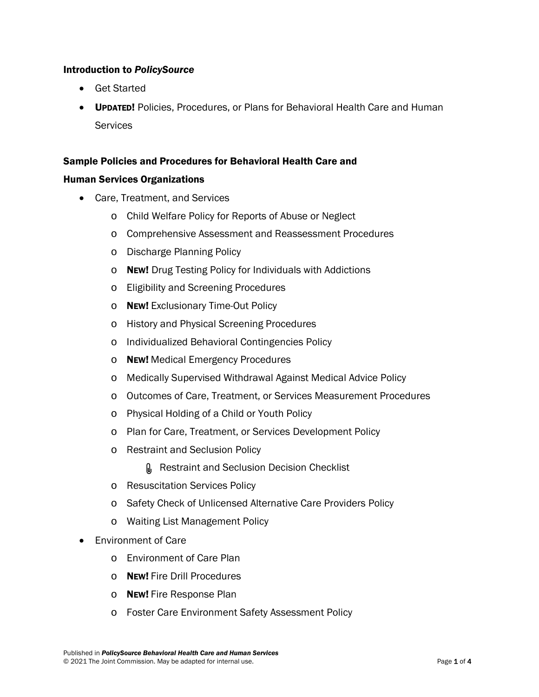## Introduction to *PolicySource*

- Get Started
- UPDATED! Policies, Procedures, or Plans for Behavioral Health Care and Human **Services**

## Sample Policies and Procedures for Behavioral Health Care and

## Human Services Organizations

- Care, Treatment, and Services
	- o Child Welfare Policy for Reports of Abuse or Neglect
	- o Comprehensive Assessment and Reassessment Procedures
	- o Discharge Planning Policy
	- o NEW! Drug Testing Policy for Individuals with Addictions
	- o Eligibility and Screening Procedures
	- o NEW! Exclusionary Time-Out Policy
	- o History and Physical Screening Procedures
	- o Individualized Behavioral Contingencies Policy
	- o NEW! Medical Emergency Procedures
	- o Medically Supervised Withdrawal Against Medical Advice Policy
	- o Outcomes of Care, Treatment, or Services Measurement Procedures
	- o Physical Holding of a Child or Youth Policy
	- o Plan for Care, Treatment, or Services Development Policy
	- o Restraint and Seclusion Policy
		- **Q** Restraint and Seclusion Decision Checklist
	- o Resuscitation Services Policy
	- o Safety Check of Unlicensed Alternative Care Providers Policy
	- o Waiting List Management Policy
- Environment of Care
	- o Environment of Care Plan
	- o NEW! Fire Drill Procedures
	- o NEW! Fire Response Plan
	- o Foster Care Environment Safety Assessment Policy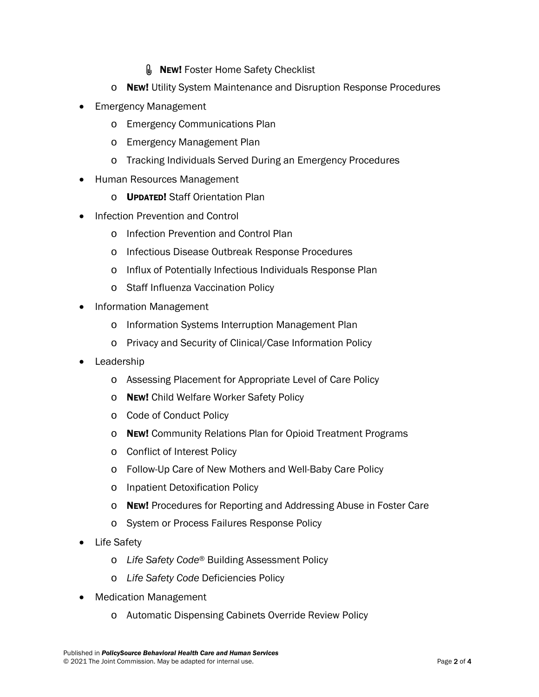- **MEW! Foster Home Safety Checklist**
- o NEW! Utility System Maintenance and Disruption Response Procedures
- Emergency Management
	- o Emergency Communications Plan
	- o Emergency Management Plan
	- o Tracking Individuals Served During an Emergency Procedures
- Human Resources Management
	- o UPDATED! Staff Orientation Plan
- Infection Prevention and Control
	- o Infection Prevention and Control Plan
	- o Infectious Disease Outbreak Response Procedures
	- o Influx of Potentially Infectious Individuals Response Plan
	- o Staff Influenza Vaccination Policy
- Information Management
	- o Information Systems Interruption Management Plan
	- o Privacy and Security of Clinical/Case Information Policy
- **Leadership** 
	- o Assessing Placement for Appropriate Level of Care Policy
	- o NEW! Child Welfare Worker Safety Policy
	- o Code of Conduct Policy
	- o NEw! Community Relations Plan for Opioid Treatment Programs
	- o Conflict of Interest Policy
	- o Follow-Up Care of New Mothers and Well-Baby Care Policy
	- o Inpatient Detoxification Policy
	- o NEW! Procedures for Reporting and Addressing Abuse in Foster Care
	- o System or Process Failures Response Policy
- Life Safety
	- o *Life Safety Code*® Building Assessment Policy
	- o *Life Safety Code* Deficiencies Policy
- Medication Management
	- o Automatic Dispensing Cabinets Override Review Policy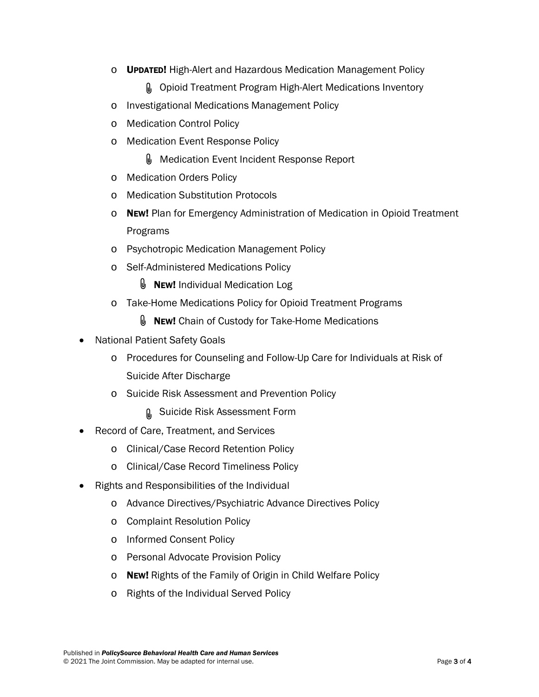o UPDATED! High-Alert and Hazardous Medication Management Policy

**M** Opioid Treatment Program High-Alert Medications Inventory

- o Investigational Medications Management Policy
- o Medication Control Policy
- o Medication Event Response Policy
	- **Medication Event Incident Response Report**
- o Medication Orders Policy
- o Medication Substitution Protocols
- $\circ$  New! Plan for Emergency Administration of Medication in Opioid Treatment Programs
- o Psychotropic Medication Management Policy
- o Self-Administered Medications Policy
	- $\mathbb U$  New! Individual Medication Log
- o Take-Home Medications Policy for Opioid Treatment Programs
	- $\mathbf{\Psi}$  New! Chain of Custody for Take-Home Medications
- National Patient Safety Goals
	- o Procedures for Counseling and Follow-Up Care for Individuals at Risk of Suicide After Discharge
	- o Suicide Risk Assessment and Prevention Policy
		- **n** Suicide Risk Assessment Form
- Record of Care, Treatment, and Services
	- o Clinical/Case Record Retention Policy
	- o Clinical/Case Record Timeliness Policy
- Rights and Responsibilities of the Individual
	- o Advance Directives/Psychiatric Advance Directives Policy
	- o Complaint Resolution Policy
	- o Informed Consent Policy
	- o Personal Advocate Provision Policy
	- o NEw! Rights of the Family of Origin in Child Welfare Policy
	- o Rights of the Individual Served Policy